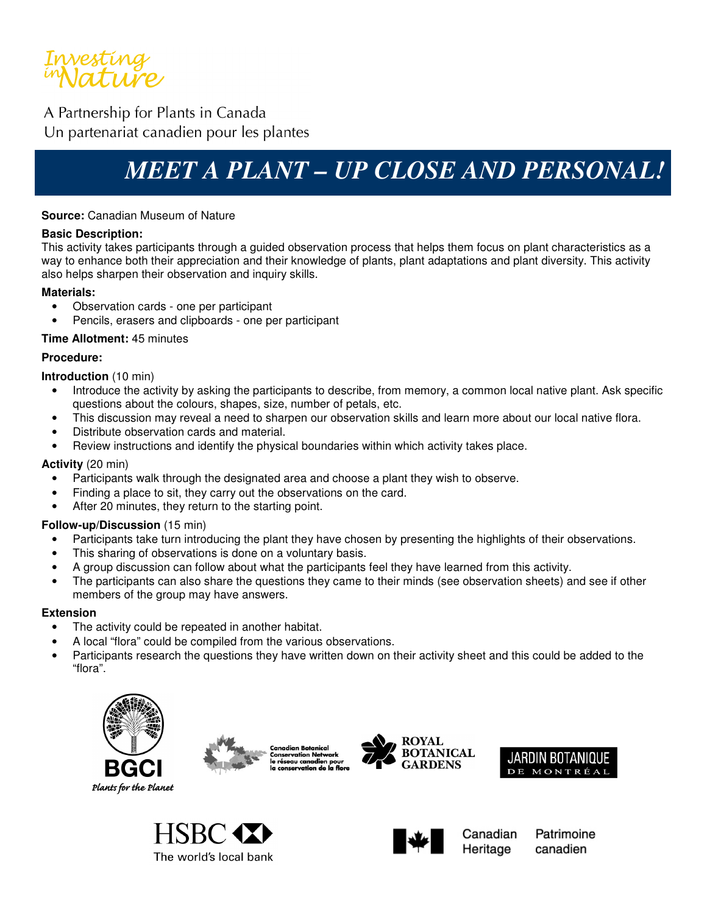

A Partnership for Plants in Canada Un partenariat canadien pour les plantes

# *MEET A PLANT – UP CLOSE AND PERSONAL!*

### **Source:** Canadian Museum of Nature

#### **Basic Description:**

This activity takes participants through a guided observation process that helps them focus on plant characteristics as a way to enhance both their appreciation and their knowledge of plants, plant adaptations and plant diversity. This activity also helps sharpen their observation and inquiry skills.

### **Materials:**

- Observation cards one per participant
- Pencils, erasers and clipboards one per participant

### **Time Allotment:** 45 minutes

### **Procedure:**

**Introduction** (10 min)

- Introduce the activity by asking the participants to describe, from memory, a common local native plant. Ask specific questions about the colours, shapes, size, number of petals, etc.
- This discussion may reveal a need to sharpen our observation skills and learn more about our local native flora.
- Distribute observation cards and material.
- Review instructions and identify the physical boundaries within which activity takes place.

### **Activity** (20 min)

- Participants walk through the designated area and choose a plant they wish to observe.
- Finding a place to sit, they carry out the observations on the card.
- After 20 minutes, they return to the starting point.

### **Follow-up/Discussion** (15 min)

- Participants take turn introducing the plant they have chosen by presenting the highlights of their observations.
- This sharing of observations is done on a voluntary basis.
- A group discussion can follow about what the participants feel they have learned from this activity.
- The participants can also share the questions they came to their minds (see observation sheets) and see if other members of the group may have answers.

#### **Extension**

- The activity could be repeated in another habitat.
- A local "flora" could be compiled from the various observations.
- Participants research the questions they have written down on their activity sheet and this could be added to the "flora".













Canadian Heritage

Patrimoine canadien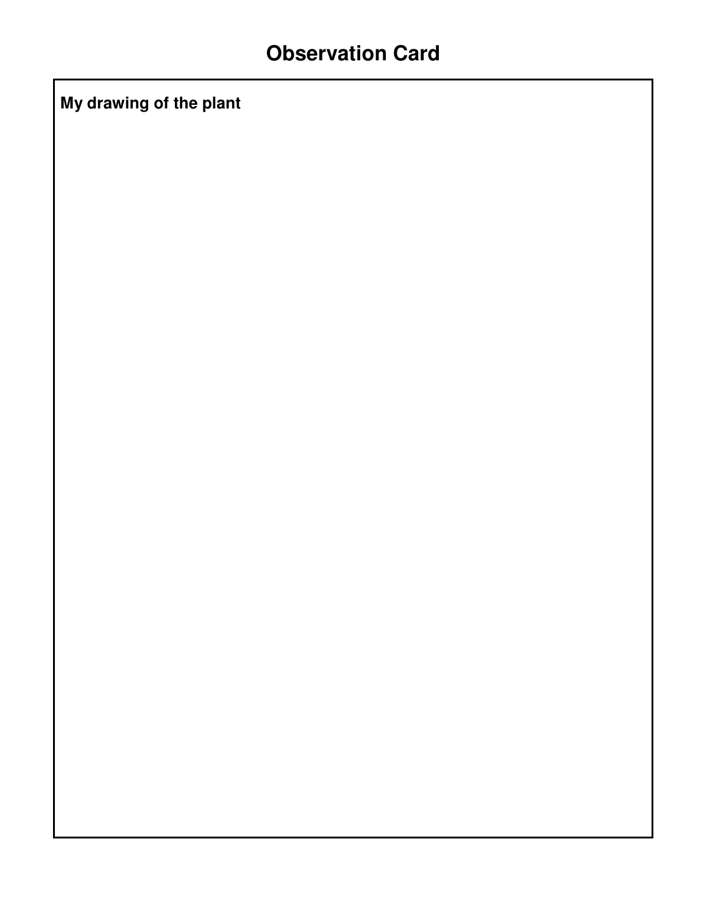**My drawing of the plant**